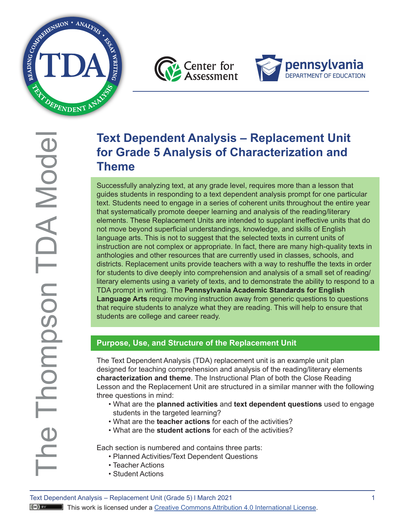





# **Text Dependent Analysis – Replacement Unit for Grade 5 Analysis of Characterization and Theme**

Successfully analyzing text, at any grade level, requires more than a lesson that guides students in responding to a text dependent analysis prompt for one particular text. Students need to engage in a series of coherent units throughout the entire year that systematically promote deeper learning and analysis of the reading/literary elements. These Replacement Units are intended to supplant ineffective units that do not move beyond superficial understandings, knowledge, and skills of English language arts. This is not to suggest that the selected texts in current units of instruction are not complex or appropriate. In fact, there are many high-quality texts in anthologies and other resources that are currently used in classes, schools, and districts. Replacement units provide teachers with a way to reshuffle the texts in order for students to dive deeply into comprehension and analysis of a small set of reading/ literary elements using a variety of texts, and to demonstrate the ability to respond to a TDA prompt in writing. The **Pennsylvania Academic Standards for English Language Arts** require moving instruction away from generic questions to questions that require students to analyze what they are reading. This will help to ensure that students are college and career ready.

# **Purpose, Use, and Structure of the Replacement Unit**

The Text Dependent Analysis (TDA) replacement unit is an example unit plan designed for teaching comprehension and analysis of the reading/literary elements **characterization and theme**. The Instructional Plan of both the Close Reading Lesson and the Replacement Unit are structured in a similar manner with the following three questions in mind:

- What are the **planned activities** and **text dependent questions** used to engage students in the targeted learning?
- What are the **teacher actions** for each of the activities?
- What are the **student actions** for each of the activities?

Each section is numbered and contains three parts:

- Planned Activities/Text Dependent Questions
- Teacher Actions
- Student Actions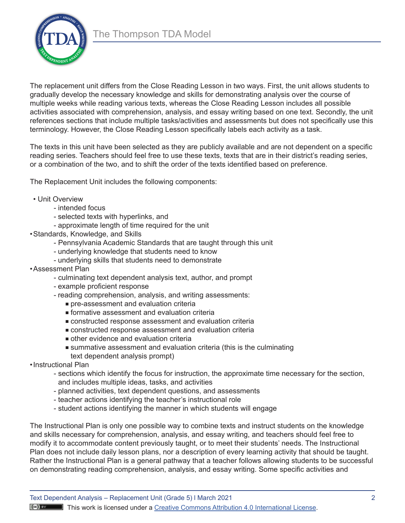

The replacement unit differs from the Close Reading Lesson in two ways. First, the unit allows students to gradually develop the necessary knowledge and skills for demonstrating analysis over the course of multiple weeks while reading various texts, whereas the Close Reading Lesson includes all possible activities associated with comprehension, analysis, and essay writing based on one text. Secondly, the unit references sections that include multiple tasks/activities and assessments but does not specifically use this terminology. However, the Close Reading Lesson specifically labels each activity as a task.

The texts in this unit have been selected as they are publicly available and are not dependent on a specific reading series. Teachers should feel free to use these texts, texts that are in their district's reading series, or a combination of the two, and to shift the order of the texts identified based on preference.

The Replacement Unit includes the following components:

- Unit Overview
	- intended focus
	- selected texts with hyperlinks, and
	- approximate length of time required for the unit
- •Standards, Knowledge, and Skills
	- Pennsylvania Academic Standards that are taught through this unit
	- underlying knowledge that students need to know
	- underlying skills that students need to demonstrate
- •Assessment Plan
	- culminating text dependent analysis text, author, and prompt
	- example proficient response
	- reading comprehension, analysis, and writing assessments:
		- **n** pre-assessment and evaluation criteria
		- $\blacksquare$  formative assessment and evaluation criteria
		- <sup>n</sup> constructed response assessment and evaluation criteria
		- <sup>n</sup> constructed response assessment and evaluation criteria
		- $\blacksquare$  other evidence and evaluation criteria
		- <sup>n</sup> summative assessment and evaluation criteria (this is the culminating text dependent analysis prompt)
- •Instructional Plan
	- sections which identify the focus for instruction, the approximate time necessary for the section, and includes multiple ideas, tasks, and activities
	- planned activities, text dependent questions, and assessments
	- teacher actions identifying the teacher's instructional role
	- student actions identifying the manner in which students will engage

The Instructional Plan is only one possible way to combine texts and instruct students on the knowledge and skills necessary for comprehension, analysis, and essay writing, and teachers should feel free to modify it to accommodate content previously taught, or to meet their students' needs. The Instructional Plan does not include daily lesson plans, nor a description of every learning activity that should be taught. Rather the Instructional Plan is a general pathway that a teacher follows allowing students to be successful on demonstrating reading comprehension, analysis, and essay writing. Some specific activities and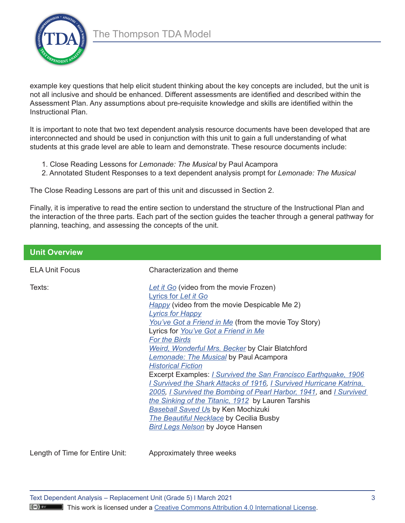

example key questions that help elicit student thinking about the key concepts are included, but the unit is not all inclusive and should be enhanced. Different assessments are identified and described within the Assessment Plan. Any assumptions about pre-requisite knowledge and skills are identified within the Instructional Plan.

It is important to note that two text dependent analysis resource documents have been developed that are interconnected and should be used in conjunction with this unit to gain a full understanding of what students at this grade level are able to learn and demonstrate. These resource documents include:

- 1. Close Reading Lessons for *Lemonade: The Musical* by Paul Acampora
- 2. Annotated Student Responses to a text dependent analysis prompt for *Lemonade: The Musical*

The Close Reading Lessons are part of this unit and discussed in Section 2.

Finally, it is imperative to read the entire section to understand the structure of the Instructional Plan and the interaction of the three parts. Each part of the section guides the teacher through a general pathway for planning, teaching, and assessing the concepts of the unit.

| <b>Unit Overview</b>            |                                                                                                                                                                                                                                                                                                                                                                                                                                                                                                                                                                                                                                                                                                                                                                                                                             |
|---------------------------------|-----------------------------------------------------------------------------------------------------------------------------------------------------------------------------------------------------------------------------------------------------------------------------------------------------------------------------------------------------------------------------------------------------------------------------------------------------------------------------------------------------------------------------------------------------------------------------------------------------------------------------------------------------------------------------------------------------------------------------------------------------------------------------------------------------------------------------|
| <b>ELA Unit Focus</b>           | Characterization and theme                                                                                                                                                                                                                                                                                                                                                                                                                                                                                                                                                                                                                                                                                                                                                                                                  |
| Texts:                          | Let it Go (video from the movie Frozen)<br>Lyrics for Let it Go<br>Happy (video from the movie Despicable Me 2)<br><b>Lyrics for Happy</b><br>You've Got a Friend in Me (from the movie Toy Story)<br>Lyrics for You've Got a Friend in Me<br><b>For the Birds</b><br><b>Weird, Wonderful Mrs. Becker by Clair Blatchford</b><br><b>Lemonade: The Musical</b> by Paul Acampora<br><b>Historical Fiction</b><br>Excerpt Examples: <i>I Survived the San Francisco Earthquake, 1906</i><br>I Survived the Shark Attacks of 1916, I Survived Hurricane Katrina,<br>2005, I Survived the Bombing of Pearl Harbor, 1941, and I Survived<br>the Sinking of the Titanic, 1912 by Lauren Tarshis<br><b>Baseball Saved Us by Ken Mochizuki</b><br>The Beautiful Necklace by Cecilia Busby<br><b>Bird Legs Nelson by Joyce Hansen</b> |
| Length of Time for Entire Unit: | Approximately three weeks                                                                                                                                                                                                                                                                                                                                                                                                                                                                                                                                                                                                                                                                                                                                                                                                   |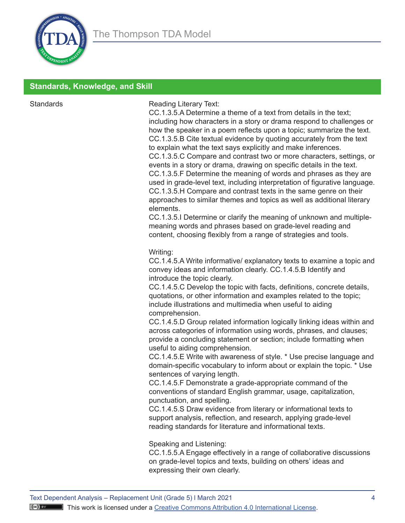

## **Standards, Knowledge, and Skill**

Standards **Reading Literary Text:** 

CC.1.3.5.A Determine a theme of a text from details in the text; including how characters in a story or drama respond to challenges or how the speaker in a poem reflects upon a topic; summarize the text. CC.1.3.5.B Cite textual evidence by quoting accurately from the text to explain what the text says explicitly and make inferences. CC.1.3.5.C Compare and contrast two or more characters, settings, or events in a story or drama, drawing on specific details in the text. CC.1.3.5.F Determine the meaning of words and phrases as they are used in grade-level text, including interpretation of figurative language. CC.1.3.5.H Compare and contrast texts in the same genre on their approaches to similar themes and topics as well as additional literary elements.

CC.1.3.5.I Determine or clarify the meaning of unknown and multiplemeaning words and phrases based on grade-level reading and content, choosing flexibly from a range of strategies and tools.

#### Writing:

CC.1.4.5.A Write informative/ explanatory texts to examine a topic and convey ideas and information clearly. CC.1.4.5.B Identify and introduce the topic clearly.

CC.1.4.5.C Develop the topic with facts, definitions, concrete details, quotations, or other information and examples related to the topic; include illustrations and multimedia when useful to aiding comprehension.

CC.1.4.5.D Group related information logically linking ideas within and across categories of information using words, phrases, and clauses; provide a concluding statement or section; include formatting when useful to aiding comprehension.

CC.1.4.5.E Write with awareness of style. \* Use precise language and domain-specific vocabulary to inform about or explain the topic. \* Use sentences of varying length.

CC.1.4.5.F Demonstrate a grade-appropriate command of the conventions of standard English grammar, usage, capitalization, punctuation, and spelling.

CC.1.4.5.S Draw evidence from literary or informational texts to support analysis, reflection, and research, applying grade-level reading standards for literature and informational texts.

#### Speaking and Listening:

CC.1.5.5.A Engage effectively in a range of collaborative discussions on grade-level topics and texts, building on others' ideas and expressing their own clearly.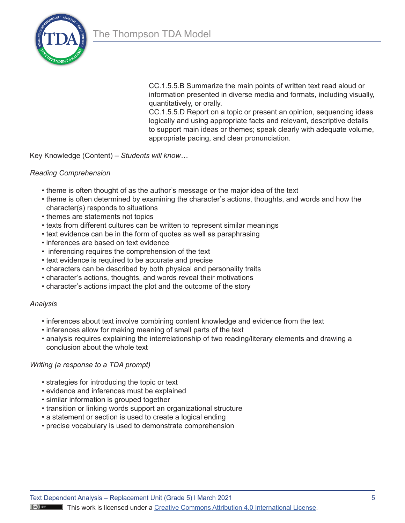

CC.1.5.5.B Summarize the main points of written text read aloud or information presented in diverse media and formats, including visually, quantitatively, or orally.

CC.1.5.5.D Report on a topic or present an opinion, sequencing ideas logically and using appropriate facts and relevant, descriptive details to support main ideas or themes; speak clearly with adequate volume, appropriate pacing, and clear pronunciation.

Key Knowledge (Content) – *Students will know…* 

#### *Reading Comprehension*

- theme is often thought of as the author's message or the major idea of the text
- theme is often determined by examining the character's actions, thoughts, and words and how the character(s) responds to situations
- themes are statements not topics
- texts from different cultures can be written to represent similar meanings
- text evidence can be in the form of quotes as well as paraphrasing
- inferences are based on text evidence
- inferencing requires the comprehension of the text
- text evidence is required to be accurate and precise
- characters can be described by both physical and personality traits
- character's actions, thoughts, and words reveal their motivations
- character's actions impact the plot and the outcome of the story

#### *Analysis*

- inferences about text involve combining content knowledge and evidence from the text
- inferences allow for making meaning of small parts of the text
- analysis requires explaining the interrelationship of two reading/literary elements and drawing a conclusion about the whole text

#### *Writing (a response to a TDA prompt)*

- strategies for introducing the topic or text
- evidence and inferences must be explained
- similar information is grouped together
- transition or linking words support an organizational structure
- a statement or section is used to create a logical ending
- precise vocabulary is used to demonstrate comprehension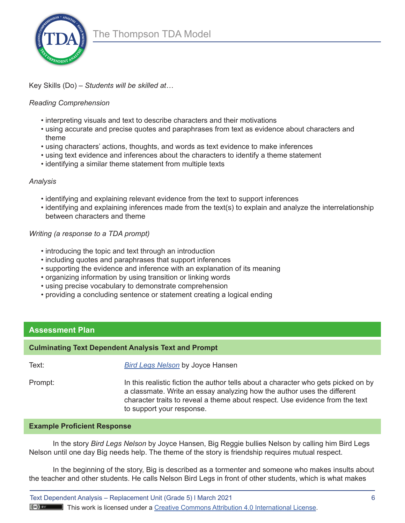#### Key Skills (Do) – *Students will be skilled at…*

#### *Reading Comprehension*

- interpreting visuals and text to describe characters and their motivations
- using accurate and precise quotes and paraphrases from text as evidence about characters and theme
- using characters' actions, thoughts, and words as text evidence to make inferences
- using text evidence and inferences about the characters to identify a theme statement
- identifying a similar theme statement from multiple texts

#### *Analysis*

- identifying and explaining relevant evidence from the text to support inferences
- identifying and explaining inferences made from the text(s) to explain and analyze the interrelationship between characters and theme

#### *Writing (a response to a TDA prompt)*

- introducing the topic and text through an introduction
- including quotes and paraphrases that support inferences
- supporting the evidence and inference with an explanation of its meaning
- organizing information by using transition or linking words
- using precise vocabulary to demonstrate comprehension
- providing a concluding sentence or statement creating a logical ending

## **Assessment Plan**

#### **Culminating Text Dependent Analysis Text and Prompt**

Text: *[Bird Legs Nelson](https://readmeastoryink.com/wp-content/uploads/stories/bird_legs_nelson.pdf)* by Joyce Hansen

Prompt: In this realistic fiction the author tells about a character who gets picked on by a classmate. Write an essay analyzing how the author uses the different character traits to reveal a theme about respect. Use evidence from the text to support your response.

#### **Example Proficient Response**

In the story *Bird Legs Nelson* by Joyce Hansen, Big Reggie bullies Nelson by calling him Bird Legs Nelson until one day Big needs help. The theme of the story is friendship requires mutual respect.

In the beginning of the story, Big is described as a tormenter and someone who makes insults about the teacher and other students. He calls Nelson Bird Legs in front of other students, which is what makes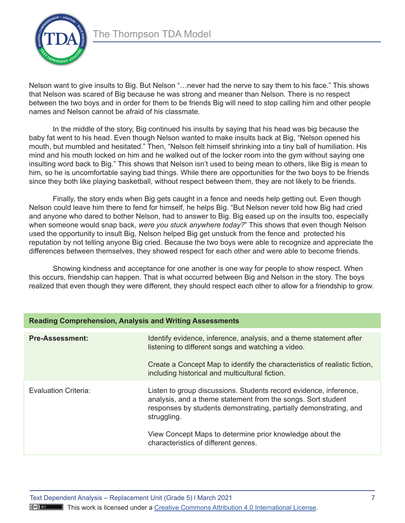

Nelson want to give insults to Big. But Nelson "…never had the nerve to say them to his face." This shows that Nelson was scared of Big because he was strong and meaner than Nelson. There is no respect between the two boys and in order for them to be friends Big will need to stop calling him and other people names and Nelson cannot be afraid of his classmate.

In the middle of the story, Big continued his insults by saying that his head was big because the baby fat went to his head. Even though Nelson wanted to make insults back at Big, "Nelson opened his mouth, but mumbled and hesitated." Then, "Nelson felt himself shrinking into a tiny ball of humiliation. His mind and his mouth locked on him and he walked out of the locker room into the gym without saying one insulting word back to Big." This shows that Nelson isn't used to being mean to others, like Big is mean to him, so he is uncomfortable saying bad things. While there are opportunities for the two boys to be friends since they both like playing basketball, without respect between them, they are not likely to be friends.

Finally, the story ends when Big gets caught in a fence and needs help getting out. Even though Nelson could leave him there to fend for himself, he helps Big. "But Nelson never told how Big had cried and anyone who dared to bother Nelson, had to answer to Big. Big eased up on the insults too, especially when someone would snap back, *were you stuck anywhere today?*" This shows that even though Nelson used the opportunity to insult Big, Nelson helped Big get unstuck from the fence and protected his reputation by not telling anyone Big cried. Because the two boys were able to recognize and appreciate the differences between themselves, they showed respect for each other and were able to become friends.

Showing kindness and acceptance for one another is one way for people to show respect. When this occurs, friendship can happen. That is what occurred between Big and Nelson in the story. The boys realized that even though they were different, they should respect each other to allow for a friendship to grow.

| <b>Reading Comprehension, Analysis and Writing Assessments</b> |                                                                                                                                                                                                                                                            |  |
|----------------------------------------------------------------|------------------------------------------------------------------------------------------------------------------------------------------------------------------------------------------------------------------------------------------------------------|--|
| <b>Pre-Assessment:</b>                                         | Identify evidence, inference, analysis, and a theme statement after<br>listening to different songs and watching a video.<br>Create a Concept Map to identify the characteristics of realistic fiction,<br>including historical and multicultural fiction. |  |
| Evaluation Criteria:                                           | Listen to group discussions. Students record evidence, inference,<br>analysis, and a theme statement from the songs. Sort student<br>responses by students demonstrating, partially demonstrating, and<br>struggling.                                      |  |
|                                                                | View Concept Maps to determine prior knowledge about the<br>characteristics of different genres.                                                                                                                                                           |  |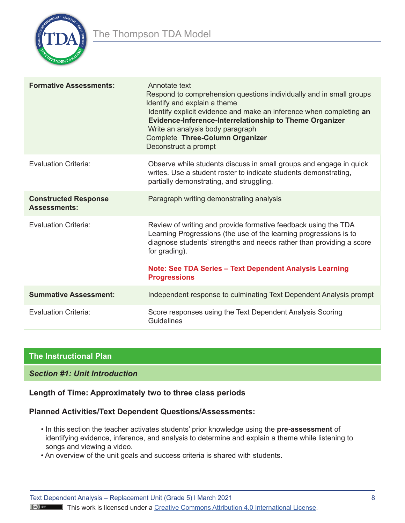

| <b>Formative Assessments:</b>                      | Annotate text<br>Respond to comprehension questions individually and in small groups<br>Identify and explain a theme<br>Identify explicit evidence and make an inference when completing an<br>Evidence-Inference-Interrelationship to Theme Organizer<br>Write an analysis body paragraph<br>Complete Three-Column Organizer<br>Deconstruct a prompt |
|----------------------------------------------------|-------------------------------------------------------------------------------------------------------------------------------------------------------------------------------------------------------------------------------------------------------------------------------------------------------------------------------------------------------|
| <b>Evaluation Criteria:</b>                        | Observe while students discuss in small groups and engage in quick<br>writes. Use a student roster to indicate students demonstrating,<br>partially demonstrating, and struggling.                                                                                                                                                                    |
| <b>Constructed Response</b><br><b>Assessments:</b> | Paragraph writing demonstrating analysis                                                                                                                                                                                                                                                                                                              |
| <b>Evaluation Criteria:</b>                        | Review of writing and provide formative feedback using the TDA<br>Learning Progressions (the use of the learning progressions is to<br>diagnose students' strengths and needs rather than providing a score<br>for grading).<br>Note: See TDA Series - Text Dependent Analysis Learning<br><b>Progressions</b>                                        |
| <b>Summative Assessment:</b>                       | Independent response to culminating Text Dependent Analysis prompt                                                                                                                                                                                                                                                                                    |
| <b>Evaluation Criteria:</b>                        | Score responses using the Text Dependent Analysis Scoring<br>Guidelines                                                                                                                                                                                                                                                                               |

# **The Instructional Plan**

## *Section #1: Unit Introduction*

## **Length of Time: Approximately two to three class periods**

#### **Planned Activities/Text Dependent Questions/Assessments:**

- In this section the teacher activates students' prior knowledge using the **pre-assessment** of identifying evidence, inference, and analysis to determine and explain a theme while listening to songs and viewing a video.
- An overview of the unit goals and success criteria is shared with students.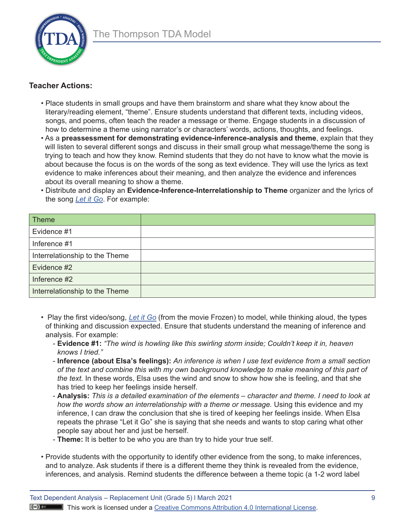

## **Teacher Actions:**

- Place students in small groups and have them brainstorm and share what they know about the literary/reading element, "theme". Ensure students understand that different texts, including videos, songs, and poems, often teach the reader a message or theme. Engage students in a discussion of how to determine a theme using narrator's or characters' words, actions, thoughts, and feelings.
- As a **preassessment for demonstrating evidence-inference-analysis and theme**, explain that they will listen to several different songs and discuss in their small group what message/theme the song is trying to teach and how they know. Remind students that they do not have to know what the movie is about because the focus is on the words of the song as text evidence. They will use the lyrics as text evidence to make inferences about their meaning, and then analyze the evidence and inferences about its overall meaning to show a theme.
- Distribute and display an **Evidence-Inference-Interrelationship to Theme** organizer and the lyrics of the song *[Let it Go](https://www.google.com/search?q=lyrics+for+let+it+go+from+frozen&rlz=1C1CHBF_enUS860US861&oq=lyrics+for+let+it+go&aqs=chrome.1.69i57j0i512l2j0i30l3j0i5i30l2j0i8i30l2.17113j0j7&sourceid=chrome&ie=UTF-8)*. For example:

| <b>Theme</b>                   |  |
|--------------------------------|--|
| Evidence #1                    |  |
| Inference #1                   |  |
| Interrelationship to the Theme |  |
| Evidence #2                    |  |
| Inference #2                   |  |
| Interrelationship to the Theme |  |

- Play the first video/song, *[Let it Go](https://www.google.com/search?q=lyrics+for+let+it+go+from+frozen&rlz=1C1CHBF_enUS860US861&oq=lyrics+for+let+it+go&aqs=chrome.1.69i57j0i512l2j0i30l3j0i5i30l2j0i8i30l2.17113j0j7&sourceid=chrome&ie=UTF-8)* (from the movie Frozen) to model, while thinking aloud, the types of thinking and discussion expected. Ensure that students understand the meaning of inference and analysis. For example:
	- **Evidence #1:** *"The wind is howling like this swirling storm inside; Couldn't keep it in, heaven knows I tried."*
	- **Inference (about Elsa's feelings):** *An inference is when I use text evidence from a small section of the text and combine this with my own background knowledge to make meaning of this part of the text.* In these words, Elsa uses the wind and snow to show how she is feeling, and that she has tried to keep her feelings inside herself.
	- **Analysis:** *This is a detailed examination of the elements character and theme. I need to look at how the words show an interrelationship with a theme or message.* Using this evidence and my inference, I can draw the conclusion that she is tired of keeping her feelings inside. When Elsa repeats the phrase "Let it Go" she is saying that she needs and wants to stop caring what other people say about her and just be herself.
	- **Theme:** It is better to be who you are than try to hide your true self.
- Provide students with the opportunity to identify other evidence from the song, to make inferences, and to analyze. Ask students if there is a different theme they think is revealed from the evidence, inferences, and analysis. Remind students the difference between a theme topic (a 1-2 word label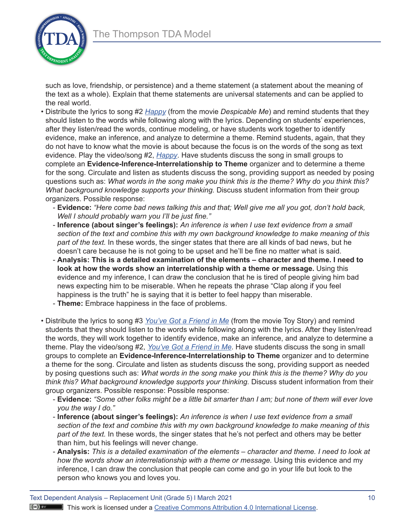

such as love, friendship, or persistence) and a theme statement (a statement about the meaning of the text as a whole). Explain that theme statements are universal statements and can be applied to the real world.

- Distribute the lyrics to song #2 *[Happy](https://www.google.com/search?q=lyrics+to+the+song+happy+from+dispicable+me&rlz=1C1CHBF_enUS860US861&oq=lyrics+to+the+song+happy+from+dispicable+me&aqs=chrome..69i57j33i10i22i29i30l6.6067j0j7&sourceid=chrome&ie=UTF-8)* (from the movie *Despicable Me*) and remind students that they should listen to the words while following along with the lyrics. Depending on students' experiences, after they listen/read the words, continue modeling, or have students work together to identify evidence, make an inference, and analyze to determine a theme. Remind students, again, that they do not have to know what the movie is about because the focus is on the words of the song as text evidence. Play the video/song #2, *[Happy](https://www.youtube.com/watch?v=XQG89cwhmJU)*. Have students discuss the song in small groups to complete an **Evidence-Inference-Interrelationship to Theme** organizer and to determine a theme for the song. Circulate and listen as students discuss the song, providing support as needed by posing questions such as: *What words in the song make you think this is the theme? Why do you think this? What background knowledge supports your thinking.* Discuss student information from their group organizers. Possible response:
	- **Evidence:** *"Here come bad news talking this and that; Well give me all you got, don't hold back, Well I should probably warn you I'll be just fine."*
	- **Inference (about singer's feelings):** *An inference is when I use text evidence from a small section of the text and combine this with my own background knowledge to make meaning of this part of the text.* In these words, the singer states that there are all kinds of bad news, but he doesn't care because he is not going to be upset and he'll be fine no matter what is said.
	- **Analysis: This is a detailed examination of the elements character and theme. I need to look at how the words show an interrelationship with a theme or message.** Using this evidence and my inference, I can draw the conclusion that he is tired of people giving him bad news expecting him to be miserable. When he repeats the phrase "Clap along if you feel happiness is the truth" he is saying that it is better to feel happy than miserable.
	- **Theme:** Embrace happiness in the face of problems.
- Distribute the lyrics to song #3 *[You've Got a Friend in Me](https://www.google.com/search?q=lyrics+to+the+song+you%27ve+got+a+friend+in+me+from+toy+story&rlz=1C1CHBF_enUS860US861&oq=lyrics+to+the+song+you%27ve+got+a+friend+in+me+from+toy+story&aqs=chrome..69i57j33i299.12017j0j7&sourceid=chrome&ie=UTF-8)* (from the movie Toy Story) and remind students that they should listen to the words while following along with the lyrics. After they listen/read the words, they will work together to identify evidence, make an inference, and analyze to determine a theme. Play the video/song #2, *[You've Got a Friend in Me](https://www.youtube.com/watch?v=nMN4JZ8crVY)*. Have students discuss the song in small groups to complete an **Evidence-Inference-Interrelationship to Theme** organizer and to determine a theme for the song. Circulate and listen as students discuss the song, providing support as needed by posing questions such as: *What words in the song make you think this is the theme? Why do you think this? What background knowledge supports your thinking.* Discuss student information from their group organizers. Possible response: Possible response:
	- **Evidence:** *"Some other folks might be a little bit smarter than I am; but none of them will ever love you the way I do."*
	- **Inference (about singer's feelings):** *An inference is when I use text evidence from a small section of the text and combine this with my own background knowledge to make meaning of this part of the text.* In these words, the singer states that he's not perfect and others may be better than him, but his feelings will never change.
	- **Analysis:** *This is a detailed examination of the elements character and theme. I need to look at how the words show an interrelationship with a theme or message.* Using this evidence and my inference, I can draw the conclusion that people can come and go in your life but look to the person who knows you and loves you.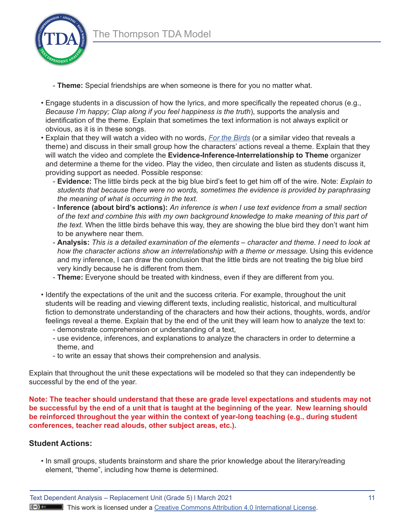

- **Theme:** Special friendships are when someone is there for you no matter what.
- Engage students in a discussion of how the lyrics, and more specifically the repeated chorus (e.g., *Because I'm happy; Clap along if you feel happiness is the truth*), supports the analysis and identification of the theme. Explain that sometimes the text information is not always explicit or obvious, as it is in these songs.
- Explain that they will watch a video with no words, *[For the Birds](https://www.youtube.com/watch?v=nYTrIcn4rjg)* (or a similar video that reveals a theme) and discuss in their small group how the characters' actions reveal a theme. Explain that they will watch the video and complete the **Evidence-Inference-Interrelationship to Theme** organizer and determine a theme for the video. Play the video, then circulate and listen as students discuss it, providing support as needed. Possible response:
	- **Evidence:** The little birds peck at the big blue bird's feet to get him off of the wire. Note: *Explain to students that because there were no words, sometimes the evidence is provided by paraphrasing the meaning of what is occurring in the text.*
	- **Inference (about bird's actions):** *An inference is when I use text evidence from a small section of the text and combine this with my own background knowledge to make meaning of this part of the text.* When the little birds behave this way, they are showing the blue bird they don't want him to be anywhere near them.
	- **Analysis:** *This is a detailed examination of the elements character and theme. I need to look at how the character actions show an interrelationship with a theme or message.* Using this evidence and my inference, I can draw the conclusion that the little birds are not treating the big blue bird very kindly because he is different from them.
	- **Theme:** Everyone should be treated with kindness, even if they are different from you.
- Identify the expectations of the unit and the success criteria. For example, throughout the unit students will be reading and viewing different texts, including realistic, historical, and multicultural fiction to demonstrate understanding of the characters and how their actions, thoughts, words, and/or feelings reveal a theme. Explain that by the end of the unit they will learn how to analyze the text to:
	- demonstrate comprehension or understanding of a text,
	- use evidence, inferences, and explanations to analyze the characters in order to determine a theme, and
	- to write an essay that shows their comprehension and analysis.

Explain that throughout the unit these expectations will be modeled so that they can independently be successful by the end of the year.

**Note: The teacher should understand that these are grade level expectations and students may not be successful by the end of a unit that is taught at the beginning of the year. New learning should be reinforced throughout the year within the context of year-long teaching (e.g., during student conferences, teacher read alouds, other subject areas, etc.).** 

## **Student Actions:**

• In small groups, students brainstorm and share the prior knowledge about the literary/reading element, "theme", including how theme is determined.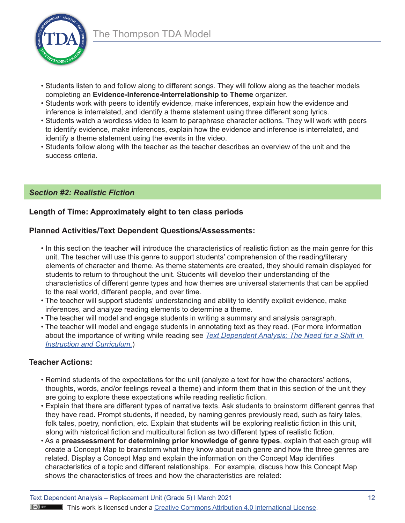

- Students listen to and follow along to different songs. They will follow along as the teacher models completing an **Evidence-Inference-Interrelationship to Theme** organizer.
- Students work with peers to identify evidence, make inferences, explain how the evidence and inference is interrelated, and identify a theme statement using three different song lyrics.
- Students watch a wordless video to learn to paraphrase character actions. They will work with peers to identify evidence, make inferences, explain how the evidence and inference is interrelated, and identify a theme statement using the events in the video.
- Students follow along with the teacher as the teacher describes an overview of the unit and the success criteria.

## *Section #2: Realistic Fiction*

## **Length of Time: Approximately eight to ten class periods**

## **Planned Activities/Text Dependent Questions/Assessments:**

- In this section the teacher will introduce the characteristics of realistic fiction as the main genre for this unit. The teacher will use this genre to support students' comprehension of the reading/literary elements of character and theme. As theme statements are created, they should remain displayed for students to return to throughout the unit. Students will develop their understanding of the characteristics of different genre types and how themes are universal statements that can be applied to the real world, different people, and over time.
- The teacher will support students' understanding and ability to identify explicit evidence, make inferences, and analyze reading elements to determine a theme.
- The teacher will model and engage students in writing a summary and analysis paragraph.
- The teacher will model and engage students in annotating text as they read. (For more information about the importance of writing while reading see *[Text Dependent Analysis: The Need for a Shift in](https://www.education.pa.gov/Documents/Teachers-Administrators/Curriculum/ELA/TDA-The%20Need%20for%20a%20Shift%20in%20Instruction%20and%20Curriculum.pdf) [Instruction and Curriculum.](https://www.education.pa.gov/Documents/Teachers-Administrators/Curriculum/ELA/TDA-The%20Need%20for%20a%20Shift%20in%20Instruction%20and%20Curriculum.pdf)*)

## **Teacher Actions:**

- Remind students of the expectations for the unit (analyze a text for how the characters' actions, thoughts, words, and/or feelings reveal a theme) and inform them that in this section of the unit they are going to explore these expectations while reading realistic fiction.
- Explain that there are different types of narrative texts. Ask students to brainstorm different genres that they have read. Prompt students, if needed, by naming genres previously read, such as fairy tales, folk tales, poetry, nonfiction, etc. Explain that students will be exploring realistic fiction in this unit, along with historical fiction and multicultural fiction as two different types of realistic fiction.
- As a **preassessment for determining prior knowledge of genre types**, explain that each group will create a Concept Map to brainstorm what they know about each genre and how the three genres are related. Display a Concept Map and explain the information on the Concept Map identifies characteristics of a topic and different relationships. For example, discuss how this Concept Map shows the characteristics of trees and how the characteristics are related: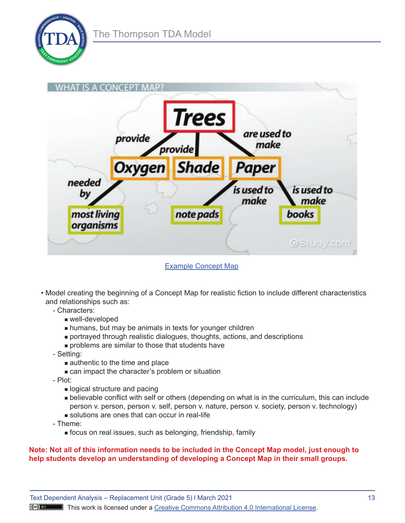



[Example Concept Map](https://www.google.com/search?q=free+images+of+concept+maps+for+grade+5&tbm=isch&ved=2ahUKEwjb8KvVu_j3AhV9sXIEHYm1CRQQ2-cCegQIABAA&oq=free+images+of+concept+maps+for+grade+5&gs_lcp=CgNpbWcQAzoECCMQJ1CgBljwEGDrE2gAcAB4AIABR4gBxgGSAQE0mAEAoAEBqgELZ3dzLXdpei1pbWfAAQE&sclient=img&ei=ovuMYtuXOf3iytMPieumoAE&bih=554&biw=1097&rlz=1C1CHBF_enUS860US861#imgrc=5HYM3Qfnt-NZrM)

- Model creating the beginning of a Concept Map for realistic fiction to include different characteristics and relationships such as:
	- Characters:
		- well-developed
		- **n** humans, but may be animals in texts for younger children
		- <sup>n</sup> portrayed through realistic dialogues, thoughts, actions, and descriptions
		- $\blacksquare$  problems are similar to those that students have
	- Setting:
		- $\blacksquare$  authentic to the time and place
		- **Example 2** can impact the character's problem or situation
	- Plot:
		- **n** logical structure and pacing
		- <sup>n</sup> believable conflict with self or others (depending on what is in the curriculum, this can include person v. person, person v. self, person v. nature, person v. society, person v. technology) solutions are ones that can occur in real-life
	- Theme:
		- **n** focus on real issues, such as belonging, friendship, family

#### **Note: Not all of this information needs to be included in the Concept Map model, just enough to help students develop an understanding of developing a Concept Map in their small groups.**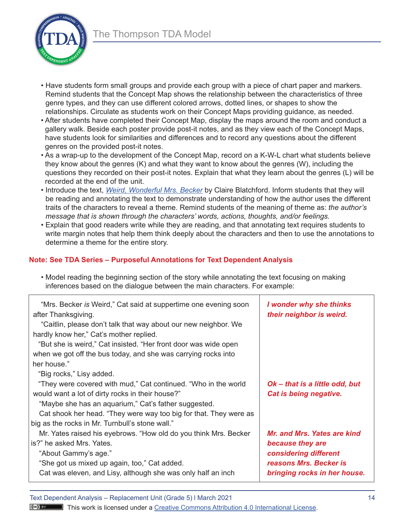

- Have students form small groups and provide each group with a piece of chart paper and markers. Remind students that the Concept Map shows the relationship between the characteristics of three genre types, and they can use different colored arrows, dotted lines, or shapes to show the relationships. Circulate as students work on their Concept Maps providing guidance, as needed.
- After students have completed their Concept Map, display the maps around the room and conduct a gallery walk. Beside each poster provide post-it notes, and as they view each of the Concept Maps, have students look for similarities and differences and to record any questions about the different genres on the provided post-it notes.
- As a wrap-up to the development of the Concept Map, record on a K-W-L chart what students believe they know about the genres (K) and what they want to know about the genres (W), including the questions they recorded on their post-it notes. Explain that what they learn about the genres (L) will be recorded at the end of the unit.
- Introduce the text, *[Weird, Wonderful Mrs. Becker](https://readmeastoryink.com/wp-content/uploads/stories/weird_wonderful_mrs._becker.pdf)* by Claire Blatchford. Inform students that they will be reading and annotating the text to demonstrate understanding of how the author uses the different traits of the characters to reveal a theme. Remind students of the meaning of theme as: *the author's message that is shown through the characters' words, actions, thoughts, and/or feelings.*
- Explain that good readers write while they are reading, and that annotating text requires students to write margin notes that help them think deeply about the characters and then to use the annotations to determine a theme for the entire story.

## **Note: See TDA Series – Purposeful Annotations for Text Dependent Analysis**

| impronoco babba on the alalogue between the main characters. For example, |
|---------------------------------------------------------------------------|
| I wonder why she thinks<br>their neighbor is weird.                       |
|                                                                           |
|                                                                           |
|                                                                           |
|                                                                           |
| Ok - that is a little odd, but                                            |
| Cat is being negative.                                                    |
|                                                                           |
|                                                                           |
|                                                                           |
| Mr. and Mrs. Yates are kind                                               |
| because they are                                                          |
| considering different                                                     |
| reasons Mrs. Becker is                                                    |
| bringing rocks in her house.                                              |
|                                                                           |

• Model reading the beginning section of the story while annotating the text focusing on making inferences based on the dialogue between the main characters. For example:

Text Dependent Analysis – Replacement Unit (Grade 5) I March 2021 14

**T** This work is licensed under a **Creative Commons Attribution 4.0 International License**.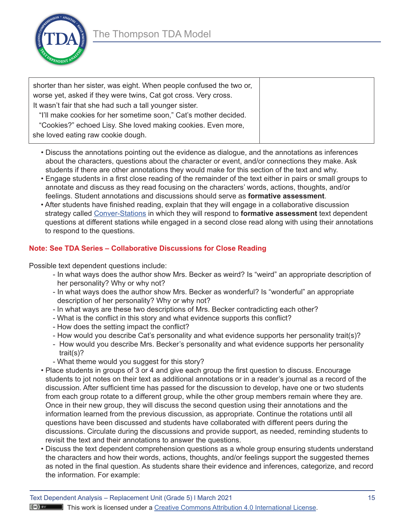

| shorter than her sister, was eight. When people confused the two or,<br>worse yet, asked if they were twins, Cat got cross. Very cross. |  |
|-----------------------------------------------------------------------------------------------------------------------------------------|--|
| It wasn't fair that she had such a tall younger sister.                                                                                 |  |
| "I'll make cookies for her sometime soon," Cat's mother decided.                                                                        |  |
| "Cookies?" echoed Lisy. She loved making cookies. Even more,                                                                            |  |
| she loved eating raw cookie dough.                                                                                                      |  |

- Discuss the annotations pointing out the evidence as dialogue, and the annotations as inferences about the characters, questions about the character or event, and/or connections they make. Ask students if there are other annotations they would make for this section of the text and why.
- Engage students in a first close reading of the remainder of the text either in pairs or small groups to annotate and discuss as they read focusing on the characters' words, actions, thoughts, and/or feelings. Student annotations and discussions should serve as **formative assessment**.
- After students have finished reading, explain that they will engage in a collaborative discussion strategy called [Conver-Stations](https://www.inquired.org/post/conver-stations-lesson-activity#:~:text=Conver%2Dstations%20allow%20students%20to,audio%20recordings%2C%20or%20written%20text.) in which they will respond to **formative assessment** text dependent questions at different stations while engaged in a second close read along with using their annotations to respond to the questions.

## **Note: See TDA Series – Collaborative Discussions for Close Reading**

Possible text dependent questions include:

- In what ways does the author show Mrs. Becker as weird? Is "weird" an appropriate description of her personality? Why or why not?
- In what ways does the author show Mrs. Becker as wonderful? Is "wonderful" an appropriate description of her personality? Why or why not?
- In what ways are these two descriptions of Mrs. Becker contradicting each other?
- What is the conflict in this story and what evidence supports this conflict?
- How does the setting impact the conflict?
- How would you describe Cat's personality and what evidence supports her personality trait(s)?
- How would you describe Mrs. Becker's personality and what evidence supports her personality trait(s)?
- What theme would you suggest for this story?
- Place students in groups of 3 or 4 and give each group the first question to discuss. Encourage students to jot notes on their text as additional annotations or in a reader's journal as a record of the discussion. After sufficient time has passed for the discussion to develop, have one or two students from each group rotate to a different group, while the other group members remain where they are. Once in their new group, they will discuss the second question using their annotations and the information learned from the previous discussion, as appropriate. Continue the rotations until all questions have been discussed and students have collaborated with different peers during the discussions. Circulate during the discussions and provide support, as needed, reminding students to revisit the text and their annotations to answer the questions.
- Discuss the text dependent comprehension questions as a whole group ensuring students understand the characters and how their words, actions, thoughts, and/or feelings support the suggested themes as noted in the final question. As students share their evidence and inferences, categorize, and record the information. For example: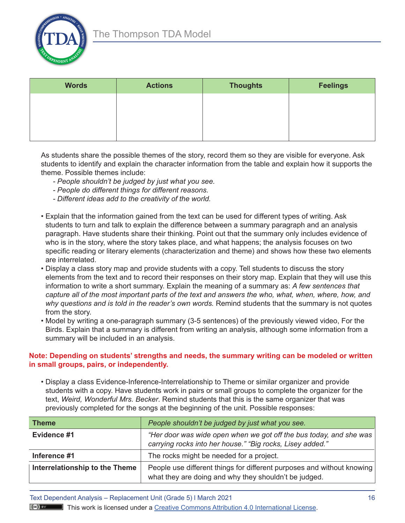

| <b>Words</b> | <b>Actions</b> | <b>Thoughts</b> | <b>Feelings</b> |
|--------------|----------------|-----------------|-----------------|
|              |                |                 |                 |
|              |                |                 |                 |
|              |                |                 |                 |

As students share the possible themes of the story, record them so they are visible for everyone. Ask students to identify and explain the character information from the table and explain how it supports the theme. Possible themes include:

- *- People shouldn't be judged by just what you see.*
- *- People do different things for different reasons.*
- *- Different ideas add to the creativity of the world.*
- Explain that the information gained from the text can be used for different types of writing. Ask students to turn and talk to explain the difference between a summary paragraph and an analysis paragraph. Have students share their thinking. Point out that the summary only includes evidence of who is in the story, where the story takes place, and what happens; the analysis focuses on two specific reading or literary elements (characterization and theme) and shows how these two elements are interrelated.
- Display a class story map and provide students with a copy. Tell students to discuss the story elements from the text and to record their responses on their story map. Explain that they will use this information to write a short summary. Explain the meaning of a summary as: *A few sentences that capture all of the most important parts of the text and answers the who, what, when, where, how, and why questions and is told in the reader's own words.* Remind students that the summary is not quotes from the story.
- Model by writing a one-paragraph summary (3-5 sentences) of the previously viewed video, For the Birds. Explain that a summary is different from writing an analysis, although some information from a summary will be included in an analysis.

#### **Note: Depending on students' strengths and needs, the summary writing can be modeled or written in small groups, pairs, or independently.**

• Display a class Evidence-Inference-Interrelationship to Theme or similar organizer and provide students with a copy. Have students work in pairs or small groups to complete the organizer for the text, *Weird, Wonderful Mrs. Becker*. Remind students that this is the same organizer that was previously completed for the songs at the beginning of the unit. Possible responses:

| <b>Theme</b>                   | People shouldn't be judged by just what you see.                                                                                |  |
|--------------------------------|---------------------------------------------------------------------------------------------------------------------------------|--|
| Evidence #1                    | "Her door was wide open when we got off the bus today, and she was<br>carrying rocks into her house." "Big rocks, Lisey added." |  |
| Inference #1                   | The rocks might be needed for a project.                                                                                        |  |
| Interrelationship to the Theme | People use different things for different purposes and without knowing<br>what they are doing and why they shouldn't be judged. |  |

Text Dependent Analysis – Replacement Unit (Grade 5) I March 2021 16

 $(\infty)$  by This work is licensed under a Creative Commons Attribution 4.0 International License.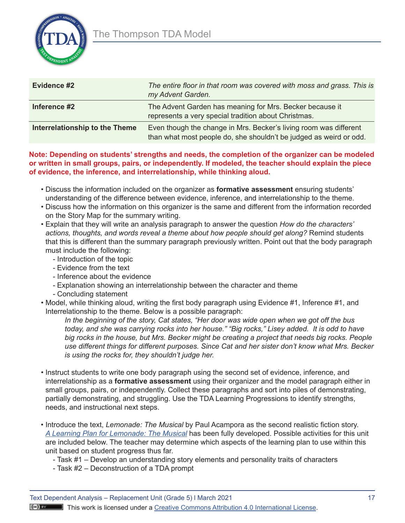

| Evidence #2                    | The entire floor in that room was covered with moss and grass. This is<br>my Advent Garden.                                             |
|--------------------------------|-----------------------------------------------------------------------------------------------------------------------------------------|
| Inference #2                   | The Advent Garden has meaning for Mrs. Becker because it<br>represents a very special tradition about Christmas.                        |
| Interrelationship to the Theme | Even though the change in Mrs. Becker's living room was different<br>than what most people do, she shouldn't be judged as weird or odd. |

#### **Note: Depending on students' strengths and needs, the completion of the organizer can be modeled or written in small groups, pairs, or independently. If modeled, the teacher should explain the piece of evidence, the inference, and interrelationship, while thinking aloud.**

- Discuss the information included on the organizer as **formative assessment** ensuring students' understanding of the difference between evidence, inference, and interrelationship to the theme.
- Discuss how the information on this organizer is the same and different from the information recorded on the Story Map for the summary writing.
- Explain that they will write an analysis paragraph to answer the question *How do the characters' actions, thoughts, and words reveal a theme about how people should get along?* Remind students that this is different than the summary paragraph previously written. Point out that the body paragraph must include the following:
	- Introduction of the topic
	- Evidence from the text
	- Inference about the evidence
	- Explanation showing an interrelationship between the character and theme
	- Concluding statement
- Model, while thinking aloud, writing the first body paragraph using Evidence #1, Inference #1, and Interrelationship to the theme. Below is a possible paragraph:

*In the beginning of the story, Cat states, "Her door was wide open when we got off the bus today, and she was carrying rocks into her house." "Big rocks," Lisey added. It is odd to have big rocks in the house, but Mrs. Becker might be creating a project that needs big rocks. People use different things for different purposes. Since Cat and her sister don't know what Mrs. Becker is using the rocks for, they shouldn't judge her.* 

- Instruct students to write one body paragraph using the second set of evidence, inference, and interrelationship as a **formative assessment** using their organizer and the model paragraph either in small groups, pairs, or independently. Collect these paragraphs and sort into piles of demonstrating, partially demonstrating, and struggling. Use the TDA Learning Progressions to identify strengths, needs, and instructional next steps.
- Introduce the text, *Lemonade: The Musical* by Paul Acampora as the second realistic fiction story. *[A Learning Plan for Lemonade: The Musical](https://www.education.pa.gov/Documents/Teachers-Administrators/Curriculum/ELA/TDACloseReadingLessonGr5.pdf)* has been fully developed. Possible activities for this unit are included below. The teacher may determine which aspects of the learning plan to use within this unit based on student progress thus far.
	- Task #1 Develop an understanding story elements and personality traits of characters
	- Task #2 Deconstruction of a TDA prompt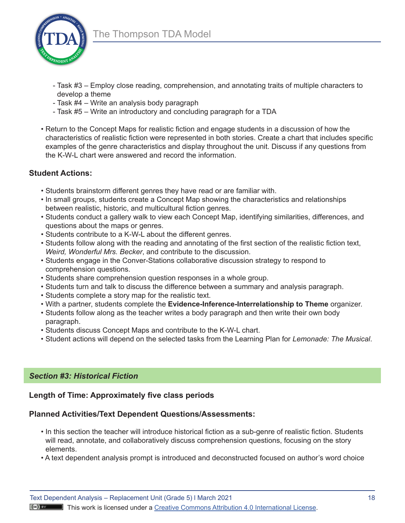

- Task #3 Employ close reading, comprehension, and annotating traits of multiple characters to develop a theme
- Task #4 Write an analysis body paragraph
- Task #5 Write an introductory and concluding paragraph for a TDA
- Return to the Concept Maps for realistic fiction and engage students in a discussion of how the characteristics of realistic fiction were represented in both stories. Create a chart that includes specific examples of the genre characteristics and display throughout the unit. Discuss if any questions from the K-W-L chart were answered and record the information.

# **Student Actions:**

- Students brainstorm different genres they have read or are familiar with.
- In small groups, students create a Concept Map showing the characteristics and relationships between realistic, historic, and multicultural fiction genres.
- Students conduct a gallery walk to view each Concept Map, identifying similarities, differences, and questions about the maps or genres.
- Students contribute to a K-W-L about the different genres.
- Students follow along with the reading and annotating of the first section of the realistic fiction text, *Weird, Wonderful Mrs. Becker*, and contribute to the discussion.
- Students engage in the Conver-Stations collaborative discussion strategy to respond to comprehension questions.
- Students share comprehension question responses in a whole group.
- Students turn and talk to discuss the difference between a summary and analysis paragraph.
- Students complete a story map for the realistic text.
- With a partner, students complete the **Evidence-Inference-Interrelationship to Theme** organizer.
- Students follow along as the teacher writes a body paragraph and then write their own body paragraph.
- Students discuss Concept Maps and contribute to the K-W-L chart.
- Student actions will depend on the selected tasks from the Learning Plan for *Lemonade: The Musical*.

## *Section #3: Historical Fiction*

# **Length of Time: Approximately five class periods**

# **Planned Activities/Text Dependent Questions/Assessments:**

- In this section the teacher will introduce historical fiction as a sub-genre of realistic fiction. Students will read, annotate, and collaboratively discuss comprehension questions, focusing on the story elements.
- A text dependent analysis prompt is introduced and deconstructed focused on author's word choice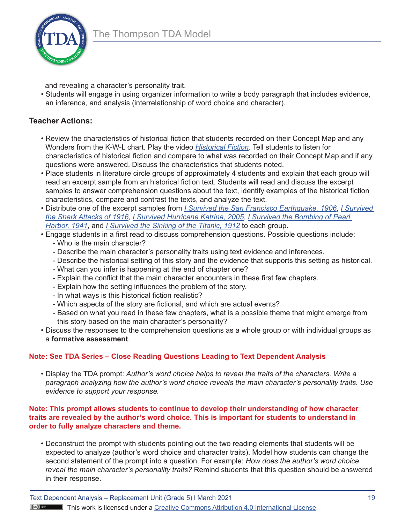

and revealing a character's personality trait.

• Students will engage in using organizer information to write a body paragraph that includes evidence, an inference, and analysis (interrelationship of word choice and character).

# **Teacher Actions:**

- Review the characteristics of historical fiction that students recorded on their Concept Map and any Wonders from the K-W-L chart. Play the video *[Historical Fiction](https://www.youtube.com/watch?v=n4gh7Brl1fs)*. Tell students to listen for characteristics of historical fiction and compare to what was recorded on their Concept Map and if any questions were answered. Discuss the characteristics that students noted.
- Place students in literature circle groups of approximately 4 students and explain that each group will read an excerpt sample from an historical fiction text. Students will read and discuss the excerpt samples to answer comprehension questions about the text, identify examples of the historical fiction characteristics, compare and contrast the texts, and analyze the text.
- Distribute one of the excerpt samples from *[I Survived the San Francisco Earthquake, 1906](https://www.overdrive.com/media/1712790/i-survived-the-san-francisco-earthquake-1906)*, *[I Survived](https://www.overdrive.com/media/1712791/i-survived-the-shark-attacks-of-1916)  [the Shark Attacks of 1916](https://www.overdrive.com/media/1712791/i-survived-the-shark-attacks-of-1916)*, *[I Survived Hurricane Katrina, 2005](https://www.overdrive.com/media/1712785/i-survived-hurricane-katrina-2005)*, *[I Survived the Bombing of Pearl](https://www.overdrive.com/media/1712788/i-survived-the-bombing-of-pearl-harbor-1941)  [Harbor, 1941](https://www.overdrive.com/media/1712788/i-survived-the-bombing-of-pearl-harbor-1941)*, and *[I Survived the Sinking of the Titanic, 1912](https://www.overdrive.com/media/1712792/i-survived-the-sinking-of-the-titanic-1912)* to each group.
- Engage students in a first read to discuss comprehension questions. Possible questions include:
	- Who is the main character?
	- Describe the main character's personality traits using text evidence and inferences.
	- Describe the historical setting of this story and the evidence that supports this setting as historical.
	- What can you infer is happening at the end of chapter one?
	- Explain the conflict that the main character encounters in these first few chapters.
	- Explain how the setting influences the problem of the story.
	- In what ways is this historical fiction realistic?
	- Which aspects of the story are fictional, and which are actual events?
	- Based on what you read in these few chapters, what is a possible theme that might emerge from this story based on the main character's personality?
- Discuss the responses to the comprehension questions as a whole group or with individual groups as a **formative assessment**.

# **Note: See TDA Series – Close Reading Questions Leading to Text Dependent Analysis**

• Display the TDA prompt: *Author's word choice helps to reveal the traits of the characters. Write a paragraph analyzing how the author's word choice reveals the main character's personality traits. Use evidence to support your response.* 

#### **Note: This prompt allows students to continue to develop their understanding of how character traits are revealed by the author's word choice. This is important for students to understand in order to fully analyze characters and theme.**

• Deconstruct the prompt with students pointing out the two reading elements that students will be expected to analyze (author's word choice and character traits). Model how students can change the second statement of the prompt into a question. For example: *How does the author's word choice reveal the main character's personality traits?* Remind students that this question should be answered in their response.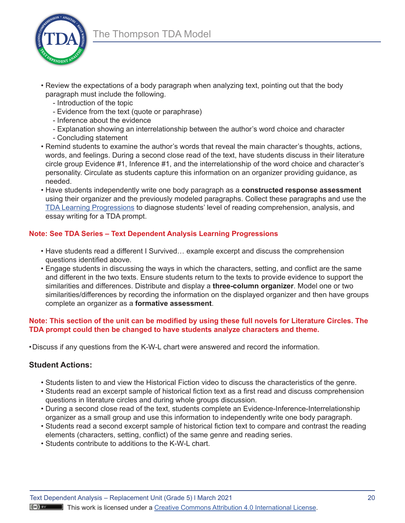

- Review the expectations of a body paragraph when analyzing text, pointing out that the body paragraph must include the following.
	- Introduction of the topic
	- Evidence from the text (quote or paraphrase)
	- Inference about the evidence
	- Explanation showing an interrelationship between the author's word choice and character
	- Concluding statement
- Remind students to examine the author's words that reveal the main character's thoughts, actions, words, and feelings. During a second close read of the text, have students discuss in their literature circle group Evidence #1, Inference #1, and the interrelationship of the word choice and character's personality. Circulate as students capture this information on an organizer providing guidance, as needed.
- Have students independently write one body paragraph as a **constructed response assessment**  using their organizer and the previously modeled paragraphs. Collect these paragraphs and use the [TDA Learning Progressions](https://www.nciea.org/sites/default/files/inline-files/TDA-LearningProgressions-FINAL_1.pdf) to diagnose students' level of reading comprehension, analysis, and essay writing for a TDA prompt.

## **Note: See TDA Series – Text Dependent Analysis Learning Progressions**

- Have students read a different I Survived… example excerpt and discuss the comprehension questions identified above.
- Engage students in discussing the ways in which the characters, setting, and conflict are the same and different in the two texts. Ensure students return to the texts to provide evidence to support the similarities and differences. Distribute and display a **three-column organizer**. Model one or two similarities/differences by recording the information on the displayed organizer and then have groups complete an organizer as a **formative assessment**.

#### **Note: This section of the unit can be modified by using these full novels for Literature Circles. The TDA prompt could then be changed to have students analyze characters and theme.**

•Discuss if any questions from the K-W-L chart were answered and record the information.

## **Student Actions:**

- Students listen to and view the Historical Fiction video to discuss the characteristics of the genre.
- Students read an excerpt sample of historical fiction text as a first read and discuss comprehension questions in literature circles and during whole groups discussion.
- During a second close read of the text, students complete an Evidence-Inference-Interrelationship organizer as a small group and use this information to independently write one body paragraph.
- Students read a second excerpt sample of historical fiction text to compare and contrast the reading elements (characters, setting, conflict) of the same genre and reading series.
- Students contribute to additions to the K-W-L chart.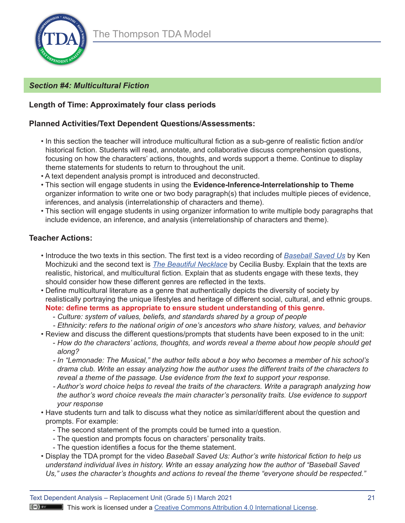

# *Section #4: Multicultural Fiction*

## **Length of Time: Approximately four class periods**

## **Planned Activities/Text Dependent Questions/Assessments:**

- In this section the teacher will introduce multicultural fiction as a sub-genre of realistic fiction and/or historical fiction. Students will read, annotate, and collaborative discuss comprehension questions, focusing on how the characters' actions, thoughts, and words support a theme. Continue to display theme statements for students to return to throughout the unit.
- A text dependent analysis prompt is introduced and deconstructed.
- This section will engage students in using the **Evidence-Inference-Interrelationship to Theme**  organizer information to write one or two body paragraph(s) that includes multiple pieces of evidence, inferences, and analysis (interrelationship of characters and theme).
- This section will engage students in using organizer information to write multiple body paragraphs that include evidence, an inference, and analysis (interrelationship of characters and theme).

## **Teacher Actions:**

- Introduce the two texts in this section. The first text is a video recording of *[Baseball Saved Us](https://www.youtube.com/watch?v=YmRWOr0YbTE)* by Ken Mochizuki and the second text is *[The Beautiful Necklace](https://readmeastoryink.com/wp-content/uploads/stories/the_beautiful_necklace.pdf)* by Cecilia Busby. Explain that the texts are realistic, historical, and multicultural fiction. Explain that as students engage with these texts, they should consider how these different genres are reflected in the texts.
- Define multicultural literature as a genre that authentically depicts the diversity of society by realistically portraying the unique lifestyles and heritage of different social, cultural, and ethnic groups. **Note: define terms as appropriate to ensure student understanding of this genre.**
	- *Culture: system of values, beliefs, and standards shared by a group of people*
	- *- Ethnicity: refers to the national origin of one's ancestors who share history, values, and behavior*
- Review and discuss the different questions/prompts that students have been exposed to in the unit:
	- *How do the characters' actions, thoughts, and words reveal a theme about how people should get along?*
	- *- In "Lemonade: The Musical," the author tells about a boy who becomes a member of his school's drama club. Write an essay analyzing how the author uses the different traits of the characters to reveal a theme of the passage. Use evidence from the text to support your response.*
	- *- Author's word choice helps to reveal the traits of the characters. Write a paragraph analyzing how the author's word choice reveals the main character's personality traits. Use evidence to support your response*
- Have students turn and talk to discuss what they notice as similar/different about the question and prompts. For example:
	- The second statement of the prompts could be turned into a question.
	- The question and prompts focus on characters' personality traits.
	- The question identifies a focus for the theme statement.
- Display the TDA prompt for the video *Baseball Saved Us: Author's write historical fiction to help us understand individual lives in history. Write an essay analyzing how the author of "Baseball Saved Us," uses the character's thoughts and actions to reveal the theme "everyone should be respected."*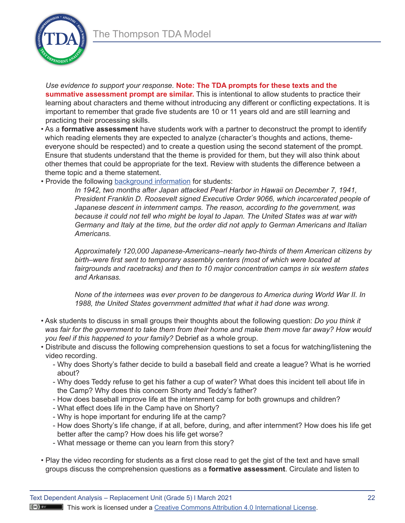

*Use evidence to support your response.* **Note: The TDA prompts for these texts and the summative assessment prompt are similar.** This is intentional to allow students to practice their learning about characters and theme without introducing any different or conflicting expectations. It is important to remember that grade five students are 10 or 11 years old and are still learning and practicing their processing skills.

- As a **formative assessment** have students work with a partner to deconstruct the prompt to identify which reading elements they are expected to analyze (character's thoughts and actions, themeeveryone should be respected) and to create a question using the second statement of the prompt. Ensure that students understand that the theme is provided for them, but they will also think about other themes that could be appropriate for the text. Review with students the difference between a theme topic and a theme statement.
- Provide the following [background information](https://www.leeandlow.com/books/baseball-saved-us/teachers_guide) for students:

*In 1942, two months after Japan attacked Pearl Harbor in Hawaii on December 7, 1941, President Franklin D. Roosevelt signed Executive Order 9066, which incarcerated people of Japanese descent in internment camps. The reason, according to the government, was because it could not tell who might be loyal to Japan. The United States was at war with Germany and Italy at the time, but the order did not apply to German Americans and Italian Americans.* 

*Approximately 120,000 Japanese-Americans–nearly two-thirds of them American citizens by birth–were first sent to temporary assembly centers (most of which were located at fairgrounds and racetracks) and then to 10 major concentration camps in six western states and Arkansas.* 

*None of the internees was ever proven to be dangerous to America during World War II. In 1988, the United States government admitted that what it had done was wrong.* 

- Ask students to discuss in small groups their thoughts about the following question: *Do you think it was fair for the government to take them from their home and make them move far away? How would you feel if this happened to your family?* Debrief as a whole group.
- Distribute and discuss the following comprehension questions to set a focus for watching/listening the video recording.
	- Why does Shorty's father decide to build a baseball field and create a league? What is he worried about?
	- Why does Teddy refuse to get his father a cup of water? What does this incident tell about life in the Camp? Why does this concern Shorty and Teddy's father?
	- How does baseball improve life at the internment camp for both grownups and children?
	- What effect does life in the Camp have on Shorty?
	- Why is hope important for enduring life at the camp?
	- How does Shorty's life change, if at all, before, during, and after internment? How does his life get better after the camp? How does his life get worse?
	- What message or theme can you learn from this story?
- Play the video recording for students as a first close read to get the gist of the text and have small groups discuss the comprehension questions as a **formative assessment**. Circulate and listen to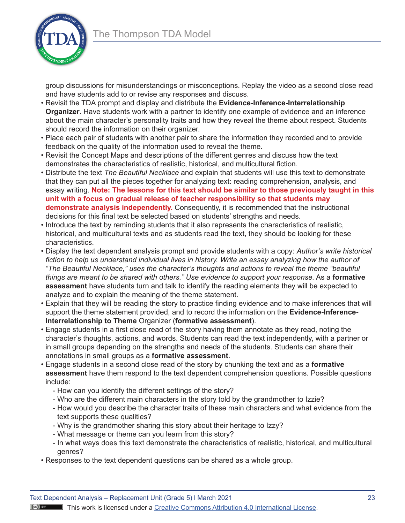

group discussions for misunderstandings or misconceptions. Replay the video as a second close read and have students add to or revise any responses and discuss.

- Revisit the TDA prompt and display and distribute the **Evidence-Inference-Interrelationship Organizer**. Have students work with a partner to identify one example of evidence and an inference about the main character's personality traits and how they reveal the theme about respect. Students should record the information on their organizer.
- Place each pair of students with another pair to share the information they recorded and to provide feedback on the quality of the information used to reveal the theme.
- Revisit the Concept Maps and descriptions of the different genres and discuss how the text demonstrates the characteristics of realistic, historical, and multicultural fiction.
- Distribute the text *The Beautiful Necklace* and explain that students will use this text to demonstrate that they can put all the pieces together for analyzing text: reading comprehension, analysis, and essay writing. **Note: The lessons for this text should be similar to those previously taught in this unit with a focus on gradual release of teacher responsibility so that students may demonstrate analysis independently.** Consequently, it is recommended that the instructional decisions for this final text be selected based on students' strengths and needs.
- Introduce the text by reminding students that it also represents the characteristics of realistic, historical, and multicultural texts and as students read the text, they should be looking for these characteristics.
- Display the text dependent analysis prompt and provide students with a copy: *Author's write historical*  fiction to help us understand individual lives in history. Write an essay analyzing how the author of *"The Beautiful Necklace," uses the character's thoughts and actions to reveal the theme "beautiful things are meant to be shared with others." Use evidence to support your response.* As a **formative assessment** have students turn and talk to identify the reading elements they will be expected to analyze and to explain the meaning of the theme statement.
- Explain that they will be reading the story to practice finding evidence and to make inferences that will support the theme statement provided, and to record the information on the **Evidence-Inference-Interrelationship to Theme** Organizer (**formative assessment**).
- Engage students in a first close read of the story having them annotate as they read, noting the character's thoughts, actions, and words. Students can read the text independently, with a partner or in small groups depending on the strengths and needs of the students. Students can share their annotations in small groups as a **formative assessment**.
- Engage students in a second close read of the story by chunking the text and as a **formative assessment** have them respond to the text dependent comprehension questions. Possible questions include:
	- How can you identify the different settings of the story?
	- Who are the different main characters in the story told by the grandmother to Izzie?
	- How would you describe the character traits of these main characters and what evidence from the text supports these qualities?
	- Why is the grandmother sharing this story about their heritage to Izzy?
	- What message or theme can you learn from this story?
	- In what ways does this text demonstrate the characteristics of realistic, historical, and multicultural genres?
- Responses to the text dependent questions can be shared as a whole group.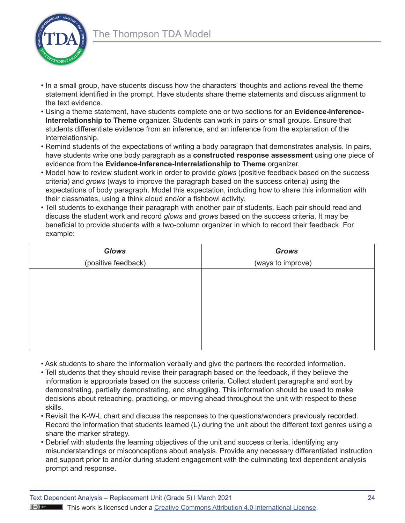

- In a small group, have students discuss how the characters' thoughts and actions reveal the theme statement identified in the prompt. Have students share theme statements and discuss alignment to the text evidence.
- Using a theme statement, have students complete one or two sections for an **Evidence-Inference-Interrelationship to Theme** organizer. Students can work in pairs or small groups. Ensure that students differentiate evidence from an inference, and an inference from the explanation of the interrelationship.
- Remind students of the expectations of writing a body paragraph that demonstrates analysis. In pairs, have students write one body paragraph as a **constructed response assessment** using one piece of evidence from the **Evidence-Inference-Interrelationship to Theme** organizer.
- Model how to review student work in order to provide *glows* (positive feedback based on the success criteria) and *grows* (ways to improve the paragraph based on the success criteria) using the expectations of body paragraph. Model this expectation, including how to share this information with their classmates, using a think aloud and/or a fishbowl activity.
- Tell students to exchange their paragraph with another pair of students. Each pair should read and discuss the student work and record *glows* and *grows* based on the success criteria. It may be beneficial to provide students with a two-column organizer in which to record their feedback. For example:

| <b>Glows</b>        | <b>Grows</b>      |
|---------------------|-------------------|
| (positive feedback) | (ways to improve) |
|                     |                   |
|                     |                   |
|                     |                   |
|                     |                   |
|                     |                   |
|                     |                   |
|                     |                   |

- Ask students to share the information verbally and give the partners the recorded information.
- Tell students that they should revise their paragraph based on the feedback, if they believe the information is appropriate based on the success criteria. Collect student paragraphs and sort by demonstrating, partially demonstrating, and struggling. This information should be used to make decisions about reteaching, practicing, or moving ahead throughout the unit with respect to these skills.
- Revisit the K-W-L chart and discuss the responses to the questions/wonders previously recorded. Record the information that students learned (L) during the unit about the different text genres using a share the marker strategy.
- Debrief with students the learning objectives of the unit and success criteria, identifying any misunderstandings or misconceptions about analysis. Provide any necessary differentiated instruction and support prior to and/or during student engagement with the culminating text dependent analysis prompt and response.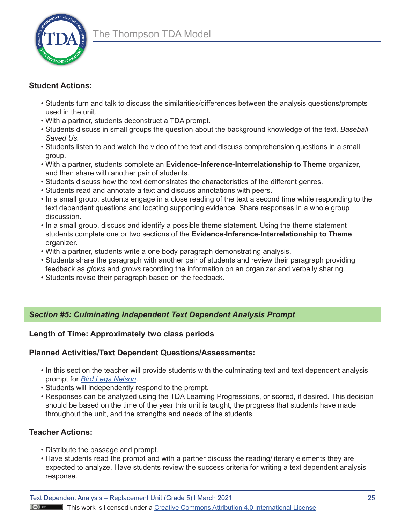

# **Student Actions:**

- Students turn and talk to discuss the similarities/differences between the analysis questions/prompts used in the unit.
- With a partner, students deconstruct a TDA prompt.
- Students discuss in small groups the question about the background knowledge of the text, *Baseball Saved Us.*
- Students listen to and watch the video of the text and discuss comprehension questions in a small group.
- With a partner, students complete an **Evidence-Inference-Interrelationship to Theme** organizer, and then share with another pair of students.
- Students discuss how the text demonstrates the characteristics of the different genres.
- Students read and annotate a text and discuss annotations with peers.
- In a small group, students engage in a close reading of the text a second time while responding to the text dependent questions and locating supporting evidence. Share responses in a whole group discussion.
- In a small group, discuss and identify a possible theme statement. Using the theme statement students complete one or two sections of the **Evidence-Inference-Interrelationship to Theme**  organizer.
- With a partner, students write a one body paragraph demonstrating analysis.
- Students share the paragraph with another pair of students and review their paragraph providing feedback as *glows* and *grows* recording the information on an organizer and verbally sharing.
- Students revise their paragraph based on the feedback.

# *Section #5: Culminating Independent Text Dependent Analysis Prompt*

# **Length of Time: Approximately two class periods**

# **Planned Activities/Text Dependent Questions/Assessments:**

- In this section the teacher will provide students with the culminating text and text dependent analysis prompt for *[Bird Legs Nelson](https://readmeastoryink.com/wp-content/uploads/stories/bird_legs_nelson.pdf)*.
- Students will independently respond to the prompt.
- Responses can be analyzed using the TDA Learning Progressions, or scored, if desired. This decision should be based on the time of the year this unit is taught, the progress that students have made throughout the unit, and the strengths and needs of the students.

# **Teacher Actions:**

- Distribute the passage and prompt.
- Have students read the prompt and with a partner discuss the reading/literary elements they are expected to analyze. Have students review the success criteria for writing a text dependent analysis response.